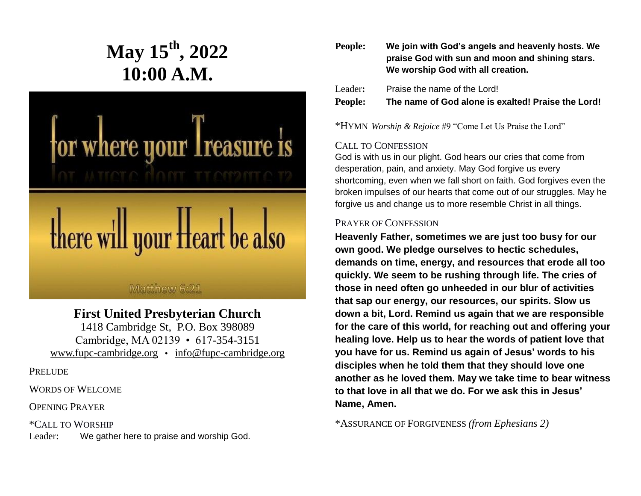# **May 15th, 2022 10:00 A.M.**



# Matthew 6:21

# **First United Presbyterian Church**

1418 Cambridge St, P.O. Box 398089 Cambridge, MA 02139 • 617-354-3151 [www.fupc-cambridge.org](http://www.fupc-cambridge.org/) • [info@fupc-cambridge.org](mailto:info@fupc-cambridge.org)

**PRELUDE** 

WORDS OF WELCOME

OPENING PRAYER

\*CALL TO WORSHIP Leader: We gather here to praise and worship God.

| People: | We join with God's angels and heavenly hosts. We<br>praise God with sun and moon and shining stars.<br>We worship God with all creation. |
|---------|------------------------------------------------------------------------------------------------------------------------------------------|
| Leader: | Praise the name of the Lord!                                                                                                             |
| People: | The name of God alone is exalted! Praise the Lord!                                                                                       |

\*HYMN *Worship & Rejoice* #9 "Come Let Us Praise the Lord"

# CALL TO CONFESSION

God is with us in our plight. God hears our cries that come from desperation, pain, and anxiety. May God forgive us every shortcoming, even when we fall short on faith. God forgives even the broken impulses of our hearts that come out of our struggles. May he forgive us and change us to more resemble Christ in all things.

# PRAYER OF CONFESSION

**Heavenly Father, sometimes we are just too busy for our own good. We pledge ourselves to hectic schedules, demands on time, energy, and resources that erode all too quickly. We seem to be rushing through life. The cries of those in need often go unheeded in our blur of activities that sap our energy, our resources, our spirits. Slow us down a bit, Lord. Remind us again that we are responsible for the care of this world, for reaching out and offering your healing love. Help us to hear the words of patient love that you have for us. Remind us again of Jesus' words to his disciples when he told them that they should love one another as he loved them. May we take time to bear witness to that love in all that we do. For we ask this in Jesus' Name, Amen.**

\*ASSURANCE OF FORGIVENESS *(from Ephesians 2)*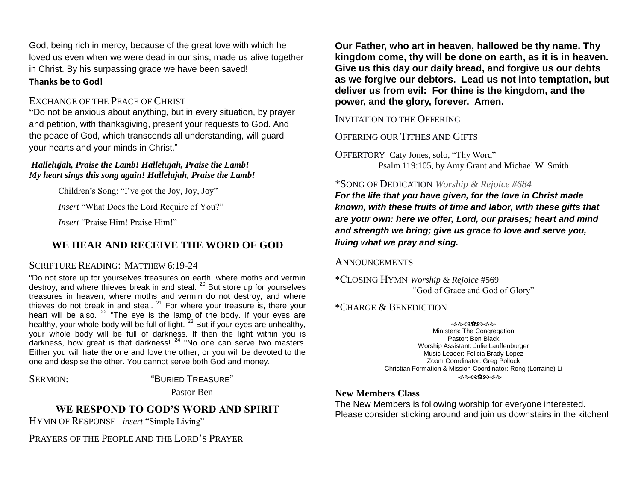God, being rich in mercy, because of the great love with which he loved us even when we were dead in our sins, made us alive together in Christ. By his surpassing grace we have been saved! **Thanks be to God!**

#### EXCHANGE OF THE PEACE OF CHRIST

**"**Do not be anxious about anything, but in every situation, by prayer and petition, with thanksgiving, present your requests to God. And the peace of God, which transcends all understanding, will guard your hearts and your minds in Christ."

#### *Hallelujah, Praise the Lamb! Hallelujah, Praise the Lamb! My heart sings this song again! Hallelujah, Praise the Lamb!*

Children's Song: "I've got the Joy, Joy, Joy"

*Insert* "What Does the Lord Require of You?"

*Insert* "Praise Him! Praise Him!"

# **WE HEAR AND RECEIVE THE WORD OF GOD**

#### SCRIPTURE READING: MATTHEW 6:19-24

"Do not store up for yourselves treasures on earth, where moths and vermin destroy, and where thieves break in and steal.<sup>20</sup> But store up for yourselves treasures in heaven, where moths and vermin do not destroy, and where thieves do not break in and steal. <sup>21</sup> For where your treasure is, there your heart will be also.  $22 \pi$  The eye is the lamp of the body. If your eyes are healthy, your whole body will be full of light.  $23$  But if your eyes are unhealthy, your whole body will be full of darkness. If then the light within you is darkness, how great is that darkness! <sup>24</sup> "No one can serve two masters. Either you will hate the one and love the other, or you will be devoted to the one and despise the other. You cannot serve both God and money.

#### SERMON: "BURIED TREASURE"

Pastor Ben

# **WE RESPOND TO GOD'S WORD AND SPIRIT**

HYMN OF RESPONSE *insert* "Simple Living"

PRAYERS OF THE PEOPLE AND THE LORD'S PRAYER

**Our Father, who art in heaven, hallowed be thy name. Thy kingdom come, thy will be done on earth, as it is in heaven. Give us this day our daily bread, and forgive us our debts as we forgive our debtors. Lead us not into temptation, but deliver us from evil: For thine is the kingdom, and the power, and the glory, forever. Amen.**

#### INVITATION TO THE OFFERING

# OFFERING OUR TITHES AND GIFTS

OFFERTORY Caty Jones, solo, "Thy Word" Psalm 119:105, by Amy Grant and Michael W. Smith

#### \*SONG OF DEDICATION *Worship & Rejoice #684*

*For the life that you have given, for the love in Christ made known, with these fruits of time and labor, with these gifts that are your own: here we offer, Lord, our praises; heart and mind and strength we bring; give us grace to love and serve you, living what we pray and sing.*

#### **ANNOUNCEMENTS**

\*CLOSING HYMN *Worship & Rejoice* #569 "God of Grace and God of Glory"

# \*CHARGE & BENEDICTION

<del>֍</del>֎֎**֎**֍֎ Ministers: The Congregation Pastor: Ben Black Worship Assistant: Julie Lauffenburger Music Leader: Felicia Brady-Lopez Zoom Coordinator: Greg Pollock Christian Formation & Mission Coordinator: Rong (Lorraine) Li **ൟ൙**ൎൔഩൟ൙

#### **New Members Class**

The New Members is following worship for everyone interested. Please consider sticking around and join us downstairs in the kitchen!